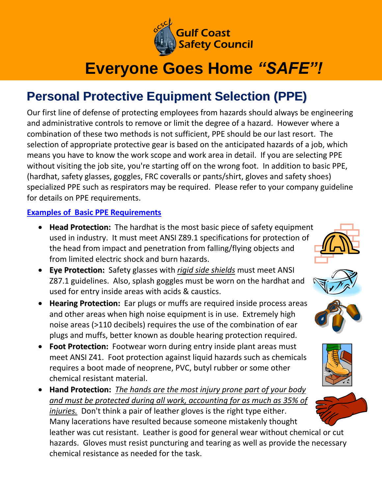

## **Everyone Goes Home** *"SAFE"!*

## **Personal Protective Equipment Selection (PPE)**

Our first line of defense of protecting employees from hazards should always be engineering and administrative controls to remove or limit the degree of a hazard. However where a combination of these two methods is not sufficient, PPE should be our last resort. The selection of appropriate protective gear is based on the anticipated hazards of a job, which means you have to know the work scope and work area in detail. If you are selecting PPE without visiting the job site, you're starting off on the wrong foot. In addition to basic PPE, (hardhat, safety glasses, goggles, FRC coveralls or pants/shirt, gloves and safety shoes) specialized PPE such as respirators may be required. Please refer to your company guideline for details on PPE requirements.

## **Examples of Basic PPE Requirements**

- **Head Protection:** The hardhat is the most basic piece of safety equipment used in industry. It must meet ANSI Z89.1 specifications for protection of the head from impact and penetration from falling/flying objects and from limited electric shock and burn hazards.
- **Eye Protection:** Safety glasses with *rigid side shields* must meet ANSI Z87.1 guidelines. Also, splash goggles must be worn on the hardhat and used for entry inside areas with acids & caustics.
- **Hearing Protection:** Ear plugs or muffs are required inside process areas and other areas when high noise equipment is in use. Extremely high noise areas (>110 decibels) requires the use of the combination of ear plugs and muffs, better known as double hearing protection required.
- **Foot Protection:** Footwear worn during entry inside plant areas must meet ANSI Z41. Foot protection against liquid hazards such as chemicals requires a boot made of neoprene, PVC, butyl rubber or some other chemical resistant material.
- **Hand Protection:** *The hands are the most injury prone part of your body and must be protected during all work, accounting for as much as 35% of injuries.* Don't think a pair of leather gloves is the right type either. Many lacerations have resulted because someone mistakenly thought leather was cut resistant. Leather is good for general wear without chemical or cut hazards. Gloves must resist puncturing and tearing as well as provide the necessary chemical resistance as needed for the task.